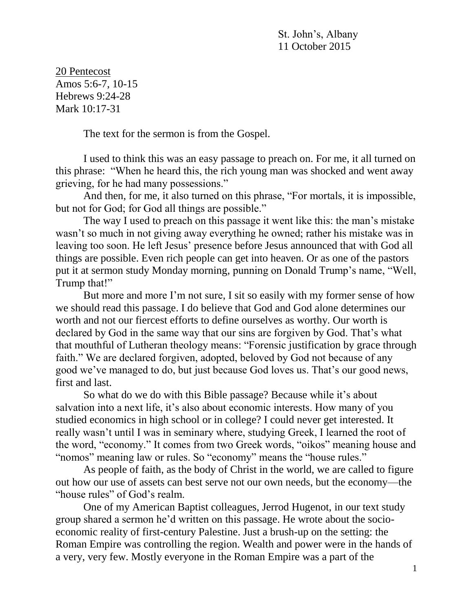St. John's, Albany 11 October 2015

20 Pentecost Amos 5:6-7, 10-15 Hebrews 9:24-28 Mark 10:17-31

The text for the sermon is from the Gospel.

I used to think this was an easy passage to preach on. For me, it all turned on this phrase: "When he heard this, the rich young man was shocked and went away grieving, for he had many possessions."

And then, for me, it also turned on this phrase, "For mortals, it is impossible, but not for God; for God all things are possible."

The way I used to preach on this passage it went like this: the man's mistake wasn't so much in not giving away everything he owned; rather his mistake was in leaving too soon. He left Jesus' presence before Jesus announced that with God all things are possible. Even rich people can get into heaven. Or as one of the pastors put it at sermon study Monday morning, punning on Donald Trump's name, "Well, Trump that!"

But more and more I'm not sure, I sit so easily with my former sense of how we should read this passage. I do believe that God and God alone determines our worth and not our fiercest efforts to define ourselves as worthy. Our worth is declared by God in the same way that our sins are forgiven by God. That's what that mouthful of Lutheran theology means: "Forensic justification by grace through faith." We are declared forgiven, adopted, beloved by God not because of any good we've managed to do, but just because God loves us. That's our good news, first and last.

So what do we do with this Bible passage? Because while it's about salvation into a next life, it's also about economic interests. How many of you studied economics in high school or in college? I could never get interested. It really wasn't until I was in seminary where, studying Greek, I learned the root of the word, "economy." It comes from two Greek words, "oikos" meaning house and "nomos" meaning law or rules. So "economy" means the "house rules."

As people of faith, as the body of Christ in the world, we are called to figure out how our use of assets can best serve not our own needs, but the economy—the "house rules" of God's realm.

One of my American Baptist colleagues, Jerrod Hugenot, in our text study group shared a sermon he'd written on this passage. He wrote about the socioeconomic reality of first-century Palestine. Just a brush-up on the setting: the Roman Empire was controlling the region. Wealth and power were in the hands of a very, very few. Mostly everyone in the Roman Empire was a part of the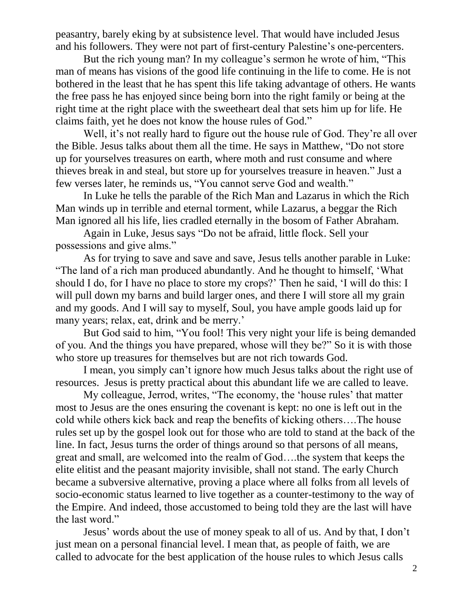peasantry, barely eking by at subsistence level. That would have included Jesus and his followers. They were not part of first-century Palestine's one-percenters.

But the rich young man? In my colleague's sermon he wrote of him, "This man of means has visions of the good life continuing in the life to come. He is not bothered in the least that he has spent this life taking advantage of others. He wants the free pass he has enjoyed since being born into the right family or being at the right time at the right place with the sweetheart deal that sets him up for life. He claims faith, yet he does not know the house rules of God."

Well, it's not really hard to figure out the house rule of God. They're all over the Bible. Jesus talks about them all the time. He says in Matthew, "Do not store up for yourselves treasures on earth, where moth and rust consume and where thieves break in and steal, but store up for yourselves treasure in heaven." Just a few verses later, he reminds us, "You cannot serve God and wealth."

In Luke he tells the parable of the Rich Man and Lazarus in which the Rich Man winds up in terrible and eternal torment, while Lazarus, a beggar the Rich Man ignored all his life, lies cradled eternally in the bosom of Father Abraham.

Again in Luke, Jesus says "Do not be afraid, little flock. Sell your possessions and give alms."

As for trying to save and save and save, Jesus tells another parable in Luke: "The land of a rich man produced abundantly. And he thought to himself, 'What should I do, for I have no place to store my crops?' Then he said, 'I will do this: I will pull down my barns and build larger ones, and there I will store all my grain and my goods. And I will say to myself, Soul, you have ample goods laid up for many years; relax, eat, drink and be merry.'

But God said to him, "You fool! This very night your life is being demanded of you. And the things you have prepared, whose will they be?" So it is with those who store up treasures for themselves but are not rich towards God.

I mean, you simply can't ignore how much Jesus talks about the right use of resources. Jesus is pretty practical about this abundant life we are called to leave.

My colleague, Jerrod, writes, "The economy, the 'house rules' that matter most to Jesus are the ones ensuring the covenant is kept: no one is left out in the cold while others kick back and reap the benefits of kicking others….The house rules set up by the gospel look out for those who are told to stand at the back of the line. In fact, Jesus turns the order of things around so that persons of all means, great and small, are welcomed into the realm of God….the system that keeps the elite elitist and the peasant majority invisible, shall not stand. The early Church became a subversive alternative, proving a place where all folks from all levels of socio-economic status learned to live together as a counter-testimony to the way of the Empire. And indeed, those accustomed to being told they are the last will have the last word."

Jesus' words about the use of money speak to all of us. And by that, I don't just mean on a personal financial level. I mean that, as people of faith, we are called to advocate for the best application of the house rules to which Jesus calls